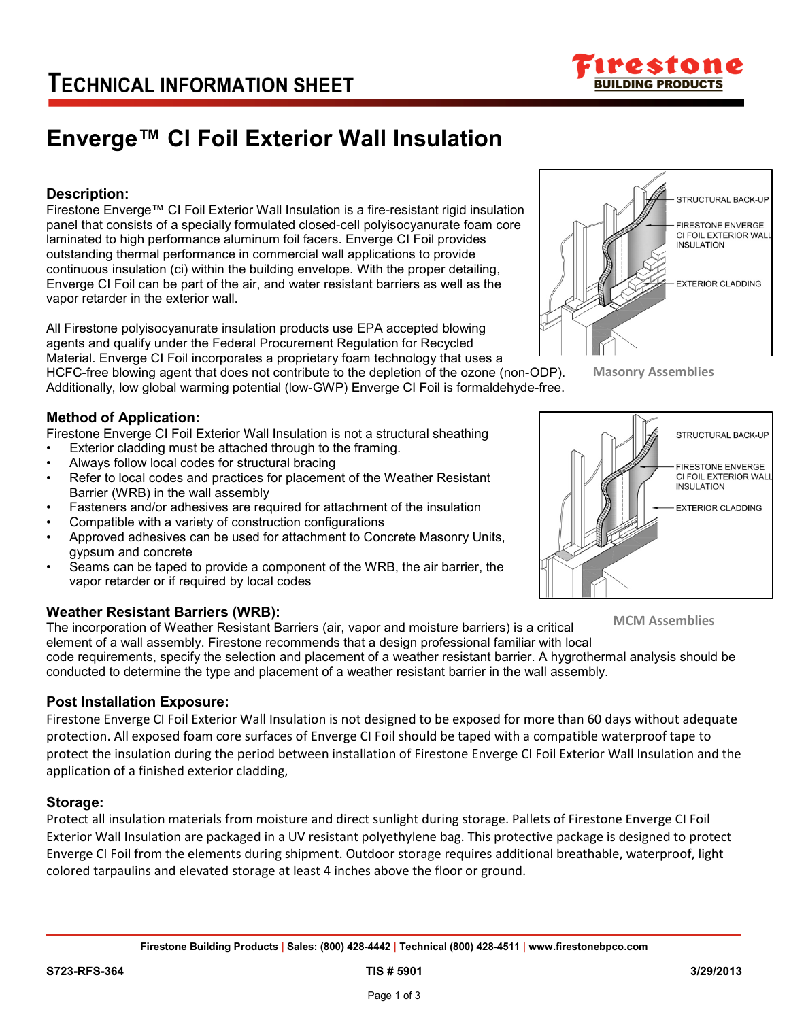

# **Enverge™ CI Foil Exterior Wall Insulation**

## **Description:**

Firestone Enverge™ CI Foil Exterior Wall Insulation is a fire-resistant rigid insulation panel that consists of a specially formulated closed-cell polyisocyanurate foam core laminated to high performance aluminum foil facers. Enverge CI Foil provides outstanding thermal performance in commercial wall applications to provide continuous insulation (ci) within the building envelope. With the proper detailing, Enverge CI Foil can be part of the air, and water resistant barriers as well as the vapor retarder in the exterior wall.

All Firestone polyisocyanurate insulation products use EPA accepted blowing agents and qualify under the Federal Procurement Regulation for Recycled Material. Enverge CI Foil incorporates a proprietary foam technology that uses a

HCFC-free blowing agent that does not contribute to the depletion of the ozone (non-ODP). Additionally, low global warming potential (low-GWP) Enverge CI Foil is formaldehyde-free.



Firestone Enverge CI Foil Exterior Wall Insulation is not a structural sheathing

- Exterior cladding must be attached through to the framing.
- Always follow local codes for structural bracing
- Refer to local codes and practices for placement of the Weather Resistant Barrier (WRB) in the wall assembly
- Fasteners and/or adhesives are required for attachment of the insulation
- Compatible with a variety of construction configurations
- Approved adhesives can be used for attachment to Concrete Masonry Units, gypsum and concrete
- Seams can be taped to provide a component of the WRB, the air barrier, the vapor retarder or if required by local codes

### **Weather Resistant Barriers (WRB):**

The incorporation of Weather Resistant Barriers (air, vapor and moisture barriers) is a critical element of a wall assembly. Firestone recommends that a design professional familiar with local code requirements, specify the selection and placement of a weather resistant barrier. A hygrothermal analysis should be conducted to determine the type and placement of a weather resistant barrier in the wall assembly. **MCM Assemblies**

## **Post Installation Exposure:**

Firestone Enverge CI Foil Exterior Wall Insulation is not designed to be exposed for more than 60 days without adequate protection. All exposed foam core surfaces of Enverge CI Foil should be taped with a compatible waterproof tape to protect the insulation during the period between installation of Firestone Enverge CI Foil Exterior Wall Insulation and the application of a finished exterior cladding,

### **Storage:**

Protect all insulation materials from moisture and direct sunlight during storage. Pallets of Firestone Enverge CI Foil Exterior Wall Insulation are packaged in a UV resistant polyethylene bag. This protective package is designed to protect Enverge CI Foil from the elements during shipment. Outdoor storage requires additional breathable, waterproof, light colored tarpaulins and elevated storage at least 4 inches above the floor or ground.



**Masonry Assemblies**

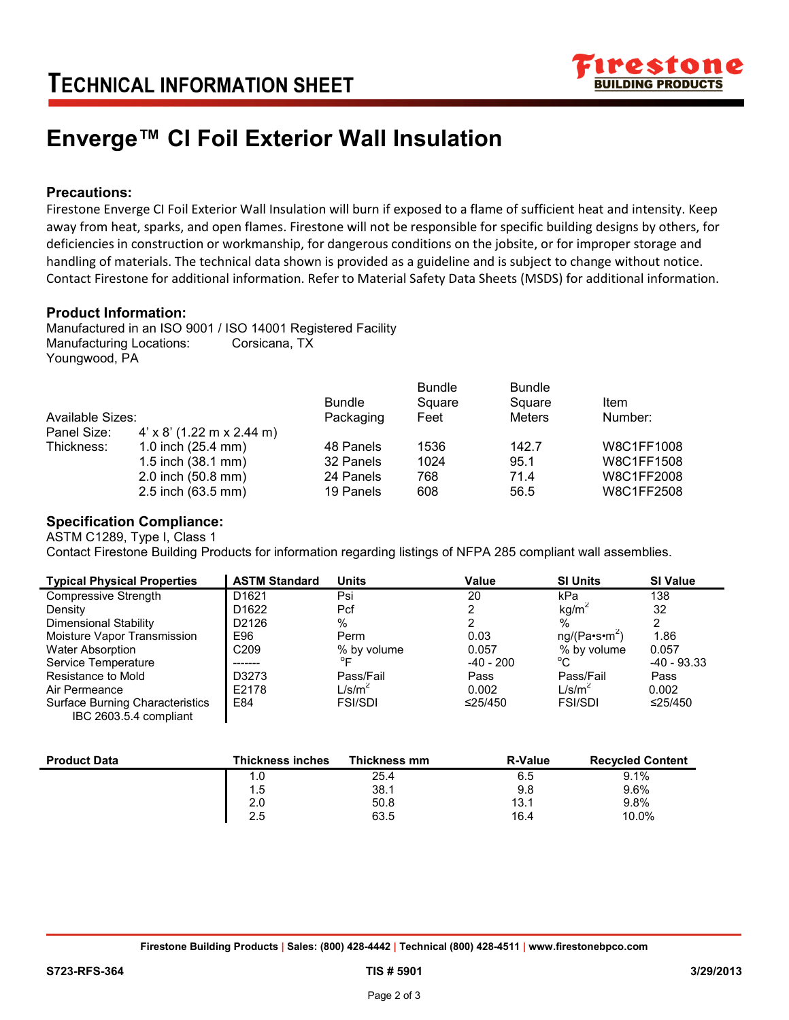

## **Enverge™ CI Foil Exterior Wall Insulation**

## **Precautions:**

Firestone Enverge CI Foil Exterior Wall Insulation will burn if exposed to a flame of sufficient heat and intensity. Keep away from heat, sparks, and open flames. Firestone will not be responsible for specific building designs by others, for deficiencies in construction or workmanship, for dangerous conditions on the jobsite, or for improper storage and handling of materials. The technical data shown is provided as a guideline and is subject to change without notice. Contact Firestone for additional information. Refer to Material Safety Data Sheets (MSDS) for additional information.

### **Product Information:**

Manufactured in an ISO 9001 / ISO 14001 Registered Facility Manufacturing Locations: Corsicana, TX Youngwood, PA

 $\mathbf{I}$ 

| Available Sizes: |                                  | <b>Bundle</b><br>Packaging | <b>Bundle</b><br>Square<br>Feet | <b>Bundle</b><br>Square<br><b>Meters</b> | Item<br>Number: |
|------------------|----------------------------------|----------------------------|---------------------------------|------------------------------------------|-----------------|
| Panel Size:      | $4' \times 8'$ (1.22 m x 2.44 m) |                            |                                 |                                          |                 |
| Thickness:       | 1.0 inch $(25.4 \text{ mm})$     | 48 Panels                  | 1536                            | 142.7                                    | W8C1FF1008      |
|                  | 1.5 inch (38.1 mm)               | 32 Panels                  | 1024                            | 95.1                                     | W8C1FF1508      |
|                  | 2.0 inch (50.8 mm)               | 24 Panels                  | 768                             | 71.4                                     | W8C1FF2008      |
|                  | 2.5 inch (63.5 mm)               | 19 Panels                  | 608                             | 56.5                                     | W8C1FF2508      |

### **Specification Compliance:**

ASTM C1289, Type I, Class 1 Contact Firestone Building Products for information regarding listings of NFPA 285 compliant wall assemblies.

| <b>Typical Physical Properties</b>     | <b>ASTM Standard</b> | <b>Units</b>       | Value         | <b>SI Units</b>           | <b>SI Value</b> |
|----------------------------------------|----------------------|--------------------|---------------|---------------------------|-----------------|
| Compressive Strength                   | D <sub>1621</sub>    | Psi                | 20            | kPa                       | 138             |
| Density                                | D <sub>1622</sub>    | Pcf                |               | kg/m <sup>2</sup>         | 32              |
| <b>Dimensional Stability</b>           | D2126                | %                  |               | $\%$                      | 2               |
| Moisture Vapor Transmission            | E96                  | Perm               | 0.03          | ng/(Pa·s·m <sup>2</sup> ) | 1.86            |
| <b>Water Absorption</b>                | C <sub>209</sub>     | % by volume        | 0.057         | % by volume               | 0.057           |
| Service Temperature                    |                      | $^{\circ}$ F       | -40 - 200     | $^{\circ}$ C              | $-40 - 93.33$   |
| Resistance to Mold                     | D3273                | Pass/Fail          | Pass          | Pass/Fail                 | Pass            |
| Air Permeance                          | E2178                | L/s/m <sup>2</sup> | 0.002         | L/s/m <sup>2</sup>        | 0.002           |
| <b>Surface Burning Characteristics</b> | E84                  | <b>FSI/SDI</b>     | $\leq$ 25/450 | <b>FSI/SDI</b>            | ≤25/450         |
| IBC 2603.5.4 compliant                 |                      |                    |               |                           |                 |

| <b>Product Data</b> | <b>Thickness inches</b> | Thickness mm | <b>R-Value</b> | <b>Recycled Content</b> |
|---------------------|-------------------------|--------------|----------------|-------------------------|
|                     | 1.0                     | 25.4         | 6.5            | 9.1%                    |
|                     | 1.5                     | 38.1         | 9.8            | 9.6%                    |
|                     | 2.0                     | 50.8         | 13.1           | 9.8%                    |
|                     | 2.5                     | 63.5         | 16.4           | 10.0%                   |